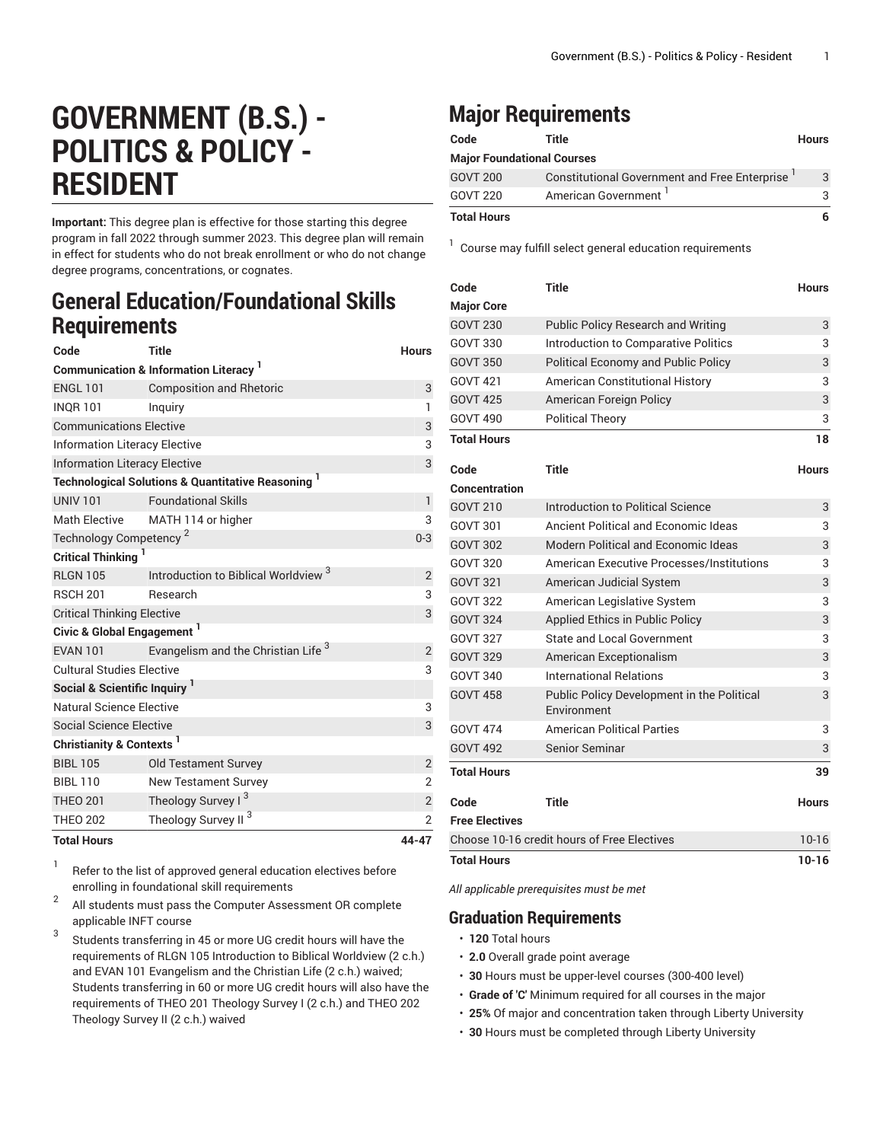# **GOVERNMENT (B.S.) - POLITICS & POLICY - RESIDENT**

**Important:** This degree plan is effective for those starting this degree program in fall 2022 through summer 2023. This degree plan will remain in effect for students who do not break enrollment or who do not change degree programs, concentrations, or cognates.

### **General Education/Foundational Skills Requirements**

| Code                                            | <b>Title</b>                                                  | <b>Hours</b>   |  |  |
|-------------------------------------------------|---------------------------------------------------------------|----------------|--|--|
| <b>Communication &amp; Information Literacy</b> |                                                               |                |  |  |
| <b>ENGL 101</b>                                 | <b>Composition and Rhetoric</b>                               | 3              |  |  |
| <b>INOR 101</b>                                 | Inquiry                                                       | 1              |  |  |
| <b>Communications Elective</b>                  | 3                                                             |                |  |  |
| <b>Information Literacy Elective</b>            | 3                                                             |                |  |  |
| <b>Information Literacy Elective</b>            | 3                                                             |                |  |  |
|                                                 | <b>Technological Solutions &amp; Quantitative Reasoning 1</b> |                |  |  |
| <b>UNIV 101</b>                                 | <b>Foundational Skills</b>                                    | 1              |  |  |
| <b>Math Elective</b>                            | MATH 114 or higher                                            | 3              |  |  |
| Technology Competency <sup>2</sup>              | $0 - 3$                                                       |                |  |  |
| <b>Critical Thinking</b>                        |                                                               |                |  |  |
| <b>RLGN 105</b>                                 | Introduction to Biblical Worldview <sup>3</sup>               | 2              |  |  |
| <b>RSCH 201</b>                                 | Research                                                      | 3              |  |  |
| <b>Critical Thinking Elective</b>               | 3                                                             |                |  |  |
| Civic & Global Engagement <sup>1</sup>          |                                                               |                |  |  |
| <b>EVAN 101</b>                                 | Evangelism and the Christian Life <sup>3</sup>                | 2              |  |  |
| <b>Cultural Studies Elective</b>                | 3                                                             |                |  |  |
| Social & Scientific Inquiry <sup>1</sup>        |                                                               |                |  |  |
| Natural Science Elective                        |                                                               | 3              |  |  |
| <b>Social Science Elective</b>                  |                                                               | 3              |  |  |
| Christianity & Contexts <sup>1</sup>            |                                                               |                |  |  |
| <b>BIBL 105</b>                                 | <b>Old Testament Survey</b>                                   | $\overline{2}$ |  |  |
| <b>BIBL 110</b>                                 | <b>New Testament Survey</b>                                   | $\overline{2}$ |  |  |
| <b>THEO 201</b>                                 | Theology Survey I <sup>3</sup>                                | $\mathbf{2}$   |  |  |
| <b>THEO 202</b>                                 | Theology Survey II <sup>3</sup>                               | $\overline{2}$ |  |  |
| <b>Total Hours</b>                              |                                                               | 44-47          |  |  |

1 Refer to the list of approved general [education](https://www.liberty.edu/gened/) electives before enrolling in foundational skill requirements

2 All students must pass the [Computer Assessment](https://www.liberty.edu/computerassessment/) OR complete applicable INFT course

3 Students transferring in 45 or more UG credit hours will have the requirements of RLGN 105 Introduction to Biblical Worldview (2 c.h.) and EVAN 101 Evangelism and the Christian Life (2 c.h.) waived; Students transferring in 60 or more UG credit hours will also have the requirements of THEO 201 Theology Survey I (2 c.h.) and THEO 202 Theology Survey II (2 c.h.) waived

## **Major Requirements**

| Code                              | Title                                         | <b>Hours</b> |
|-----------------------------------|-----------------------------------------------|--------------|
| <b>Major Foundational Courses</b> |                                               |              |
| <b>GOVT 200</b>                   | Constitutional Government and Free Enterprise | 3            |
| <b>GOVT 220</b>                   | American Government <sup>1</sup>              | 3            |
| <b>Total Hours</b>                |                                               | 6            |

1 Course may fulfill select general education [requirements](http://www.liberty.edu/academics/generalstudies/?PID=37563)

| Code                                        | <b>Title</b>                                              | <b>Hours</b> |
|---------------------------------------------|-----------------------------------------------------------|--------------|
| <b>Major Core</b>                           |                                                           |              |
| <b>GOVT 230</b>                             | <b>Public Policy Research and Writing</b>                 | 3            |
| GOVT 330                                    | Introduction to Comparative Politics                      | 3            |
| <b>GOVT 350</b>                             | <b>Political Economy and Public Policy</b>                | 3            |
| GOVT 421                                    | <b>American Constitutional History</b>                    | 3            |
| <b>GOVT 425</b>                             | American Foreign Policy                                   | 3            |
| GOVT 490                                    | <b>Political Theory</b>                                   | 3            |
| <b>Total Hours</b>                          |                                                           | 18           |
| Code                                        | Title                                                     | <b>Hours</b> |
| Concentration                               |                                                           |              |
| <b>GOVT 210</b>                             | Introduction to Political Science                         | 3            |
| GOVT 301                                    | Ancient Political and Economic Ideas                      | 3            |
| <b>GOVT 302</b>                             | Modern Political and Economic Ideas                       | 3            |
| <b>GOVT 320</b>                             | <b>American Executive Processes/Institutions</b>          | 3            |
| <b>GOVT 321</b>                             | American Judicial System                                  | 3            |
| <b>GOVT 322</b>                             | American Legislative System                               | 3            |
| <b>GOVT 324</b>                             | Applied Ethics in Public Policy                           | 3            |
| <b>GOVT 327</b>                             | State and Local Government                                | 3            |
| <b>GOVT 329</b>                             | American Exceptionalism                                   | 3            |
| GOVT 340                                    | <b>International Relations</b>                            | 3            |
| <b>GOVT 458</b>                             | Public Policy Development in the Political<br>Environment | 3            |
| GOVT 474                                    | <b>American Political Parties</b>                         | 3            |
| <b>GOVT 492</b>                             | <b>Senior Seminar</b>                                     | 3            |
| <b>Total Hours</b>                          |                                                           | 39           |
| Code                                        | Title                                                     | <b>Hours</b> |
| <b>Free Electives</b>                       |                                                           |              |
| Choose 10-16 credit hours of Free Electives |                                                           |              |
| Total Hours                                 |                                                           |              |

*All applicable prerequisites must be met*

### **Graduation Requirements**

- **120** Total hours
- **2.0** Overall grade point average
- **30** Hours must be upper-level courses (300-400 level)
- **Grade of 'C'** Minimum required for all courses in the major
- **25%** Of major and concentration taken through Liberty University
- **30** Hours must be completed through Liberty University